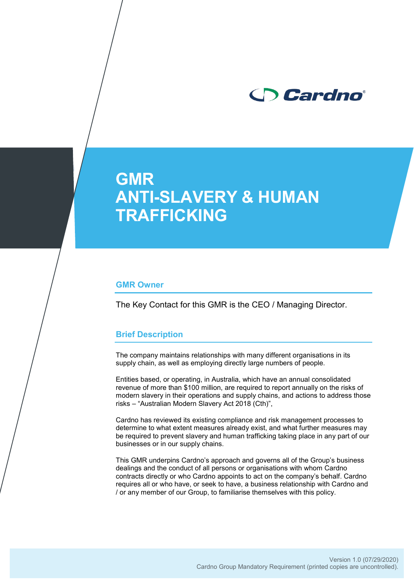

# **GMR ANTI-SLAVERY & HUMAN TRAFFICKING**

#### **GMR Owner**

The Key Contact for this GMR is the CEO / Managing Director.

#### **Brief Description**

The company maintains relationships with many different organisations in its supply chain, as well as employing directly large numbers of people.

Entities based, or operating, in Australia, which have an annual consolidated revenue of more than \$100 million, are required to report annually on the risks of modern slavery in their operations and supply chains, and actions to address those risks – "Australian Modern Slavery Act 2018 (Cth)",

Cardno has reviewed its existing compliance and risk management processes to determine to what extent measures already exist, and what further measures may be required to prevent slavery and human trafficking taking place in any part of our businesses or in our supply chains.

This GMR underpins Cardno's approach and governs all of the Group's business dealings and the conduct of all persons or organisations with whom Cardno contracts directly or who Cardno appoints to act on the company's behalf. Cardno requires all or who have, or seek to have, a business relationship with Cardno and / or any member of our Group, to familiarise themselves with this policy.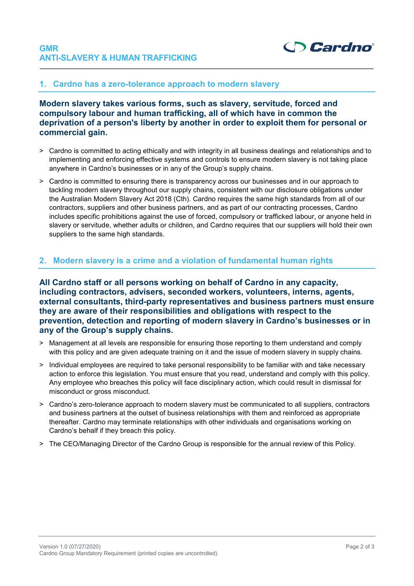

## **1. Cardno has a zero-tolerance approach to modern slavery**

**Modern slavery takes various forms, such as slavery, servitude, forced and compulsory labour and human trafficking, all of which have in common the deprivation of a person's liberty by another in order to exploit them for personal or commercial gain.**

- > Cardno is committed to acting ethically and with integrity in all business dealings and relationships and to implementing and enforcing effective systems and controls to ensure modern slavery is not taking place anywhere in Cardno's businesses or in any of the Group's supply chains.
- > Cardno is committed to ensuring there is transparency across our businesses and in our approach to tackling modern slavery throughout our supply chains, consistent with our disclosure obligations under the Australian Modern Slavery Act 2018 (Cth). Cardno requires the same high standards from all of our contractors, suppliers and other business partners, and as part of our contracting processes, Cardno includes specific prohibitions against the use of forced, compulsory or trafficked labour, or anyone held in slavery or servitude, whether adults or children, and Cardno requires that our suppliers will hold their own suppliers to the same high standards.

### **2. Modern slavery is a crime and a violation of fundamental human rights**

**All Cardno staff or all persons working on behalf of Cardno in any capacity, including contractors, advisers, seconded workers, volunteers, interns, agents, external consultants, third-party representatives and business partners must ensure they are aware of their responsibilities and obligations with respect to the prevention, detection and reporting of modern slavery in Cardno's businesses or in any of the Group's supply chains.**

- > Management at all levels are responsible for ensuring those reporting to them understand and comply with this policy and are given adequate training on it and the issue of modern slavery in supply chains.
- > Individual employees are required to take personal responsibility to be familiar with and take necessary action to enforce this legislation. You must ensure that you read, understand and comply with this policy. Any employee who breaches this policy will face disciplinary action, which could result in dismissal for misconduct or gross misconduct.
- > Cardno's zero-tolerance approach to modern slavery must be communicated to all suppliers, contractors and business partners at the outset of business relationships with them and reinforced as appropriate thereafter. Cardno may terminate relationships with other individuals and organisations working on Cardno's behalf if they breach this policy.
- > The CEO/Managing Director of the Cardno Group is responsible for the annual review of this Policy.